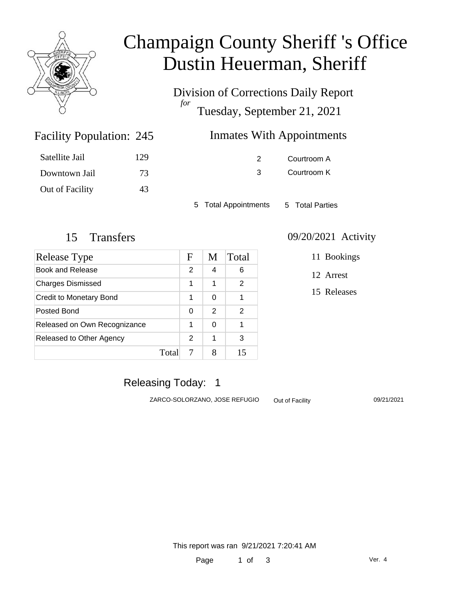

# Champaign County Sheriff 's Office Dustin Heuerman, Sheriff

Division of Corrections Daily Report *for* Tuesday, September 21, 2021

| 245 | <b>Inmates With Appointments</b> |
|-----|----------------------------------|
|     |                                  |

| Satellite Jail  | 129 |
|-----------------|-----|
| Downtown Jail   | 73  |
| Out of Facility | 43  |

Facility Population: 245

2 Courtroom A 3 Courtroom K

5 Total Appointments 5 Total Parties

| Release Type                 |       | F             | M | Total         |
|------------------------------|-------|---------------|---|---------------|
| Book and Release             |       | $\mathcal{P}$ | 4 | 6             |
| <b>Charges Dismissed</b>     |       | 1             | 1 | $\mathcal{P}$ |
| Credit to Monetary Bond      |       | 1             | 0 |               |
| Posted Bond                  |       | 0             | 2 | 2             |
| Released on Own Recognizance |       | 1             | 0 | 1             |
| Released to Other Agency     |       | 2             | 1 | 3             |
|                              | Total |               |   | 15            |

#### 15 Transfers 09/20/2021 Activity

11 Bookings

12 Arrest

15 Releases

## Releasing Today: 1

ZARCO-SOLORZANO, JOSE REFUGIO Out of Facility 09/21/2021

This report was ran 9/21/2021 7:20:41 AM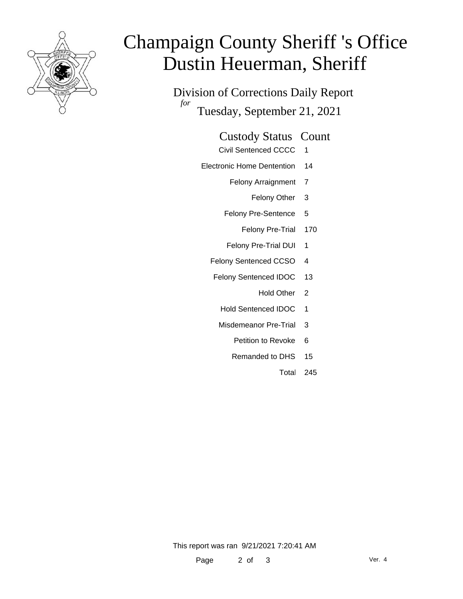

# Champaign County Sheriff 's Office Dustin Heuerman, Sheriff

Division of Corrections Daily Report *for* Tuesday, September 21, 2021

#### Custody Status Count

- Civil Sentenced CCCC 1
- Electronic Home Dentention 14
	- Felony Arraignment 7
		- Felony Other 3
	- Felony Pre-Sentence 5
		- Felony Pre-Trial 170
	- Felony Pre-Trial DUI 1
	- Felony Sentenced CCSO 4
	- Felony Sentenced IDOC 13
		- Hold Other<sub>2</sub>
		- Hold Sentenced IDOC 1
		- Misdemeanor Pre-Trial 3
			- Petition to Revoke 6
			- Remanded to DHS 15
				- Total 245

This report was ran 9/21/2021 7:20:41 AM